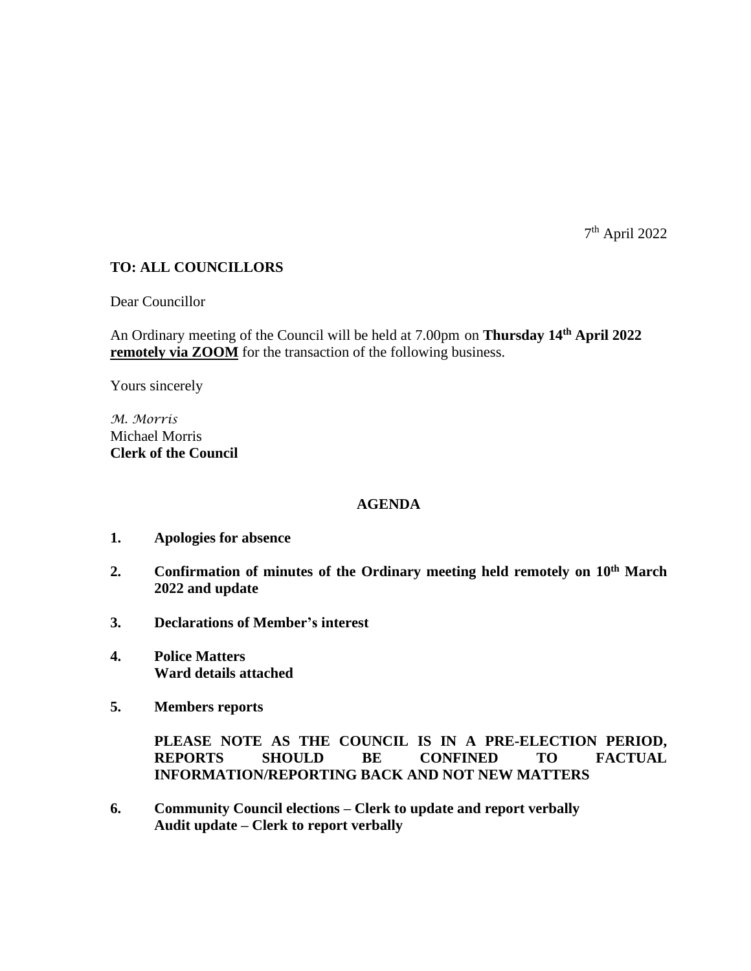7 th April 2022

## **TO: ALL COUNCILLORS**

Dear Councillor

An Ordinary meeting of the Council will be held at 7.00pm on **Thursday 14th April 2022 remotely via ZOOM** for the transaction of the following business.

Yours sincerely

*M. Morris* Michael Morris **Clerk of the Council**

## **AGENDA**

- **1. Apologies for absence**
- **2. Confirmation of minutes of the Ordinary meeting held remotely on 10th March 2022 and update**
- **3. Declarations of Member's interest**
- **4. Police Matters Ward details attached**
- **5. Members reports**

**PLEASE NOTE AS THE COUNCIL IS IN A PRE-ELECTION PERIOD, REPORTS SHOULD BE CONFINED TO FACTUAL INFORMATION/REPORTING BACK AND NOT NEW MATTERS**

**6. Community Council elections – Clerk to update and report verbally Audit update – Clerk to report verbally**